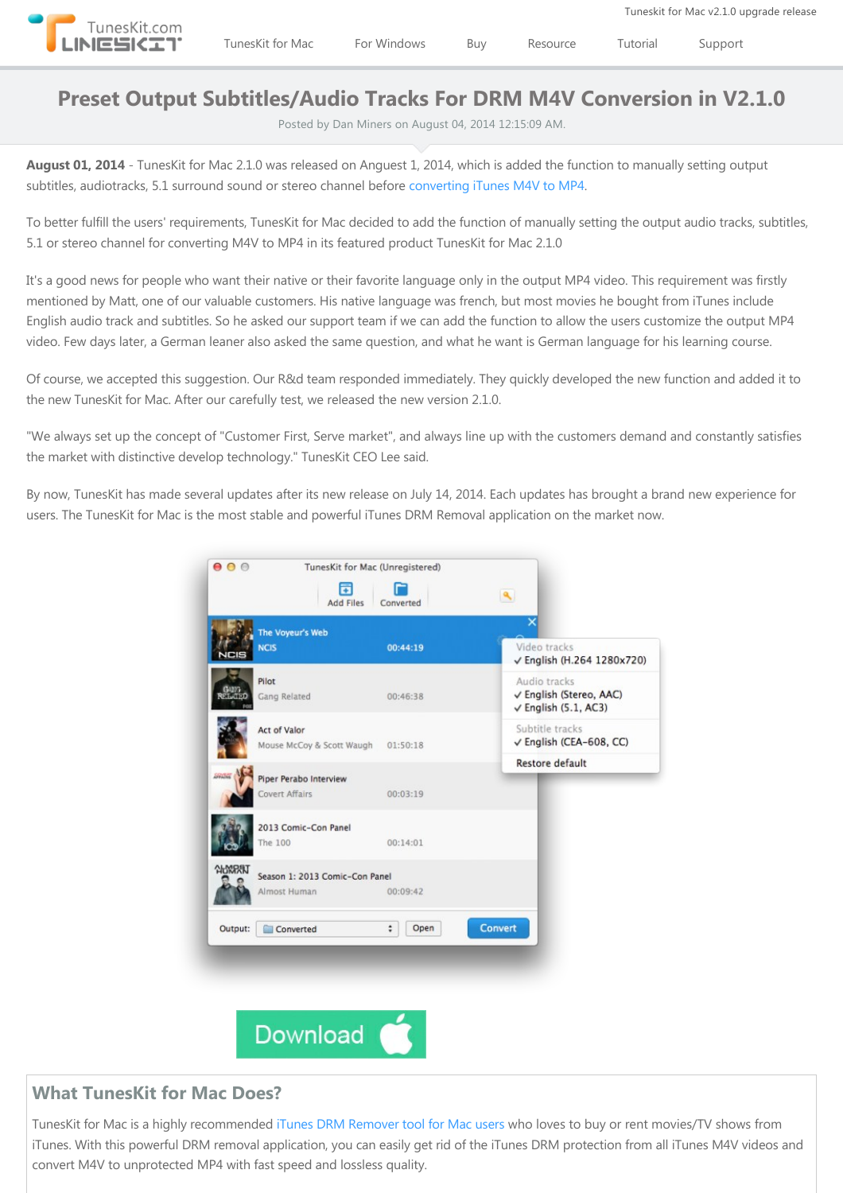

## **Preset Output Subtitles/Audio Tracks For DRM M4V Conversion in V2.1.0**

Posted by Dan Miners on August 04, 2014 12:15:09 AM.

**August 01, 2014** ‐ TunesKit for Mac 2.1.0 was released on Anguest 1, 2014, which is added the function to manually setting output subtitles, audiotracks, 5.1 surround sound or stereo channel before [converting iTunes M4V to MP4.](http://www.tuneskit.com/drm-m4v-to-popular-formats/itunes-m4v-to-mp4.html)

To better fulfill the users' requirements, TunesKit for Mac decided to add the function of manually setting the output audio tracks, subtitles, 5.1 or stereo channel for converting M4V to MP4 in its featured product TunesKit for Mac 2.1.0

It's a good news for people who want their native or their favorite language only in the output MP4 video. This requirement was firstly mentioned by Matt, one of our valuable customers. His native language was french, but most movies he bought from iTunes include English audio track and subtitles. So he asked our support team if we can add the function to allow the users customize the output MP4 video. Few days later, a German leaner also asked the same question, and what he want is German language for his learning course.

Of course, we accepted this suggestion. Our R&d team responded immediately. They quickly developed the new function and added it to the new TunesKit for Mac. After our carefully test, we released the new version 2.1.0.

"We always set up the concept of "Customer First, Serve market", and always line up with the customers demand and constantly satisfies the market with distinctive develop technology." TunesKit CEO Lee said.

By now, TunesKit has made several updates after its new release on July 14, 2014. Each updates has brought a brand new experience for users. The TunesKit for Mac is the most stable and powerful iTunes DRM Removal application on the market now.



## **What TunesKit for Mac Does?**

TunesKit for Mac is a highly recommended [iTunes DRM Remover tool for Mac users](http://www.tuneskit.com/tuneskit-for-mac.html) who loves to buy or rent movies/TV shows from iTunes. With this powerful DRM removal application, you can easily get rid of the iTunes DRM protection from all iTunes M4V videos and convert M4V to unprotected MP4 with fast speed and lossless quality.